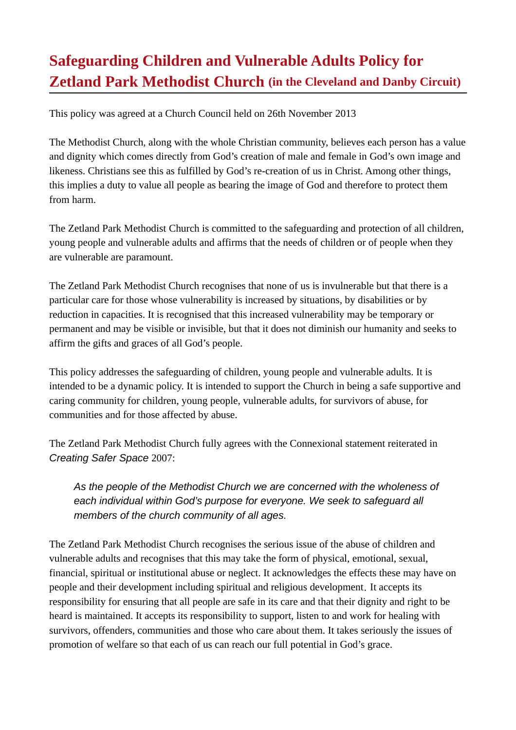# **Safeguarding Children and Vulnerable Adults Policy for Zetland Park Methodist Church (in the Cleveland and Danby Circuit)**

This policy was agreed at a Church Council held on 26th November 2013

The Methodist Church, along with the whole Christian community, believes each person has a value and dignity which comes directly from God's creation of male and female in God's own image and likeness. Christians see this as fulfilled by God's re-creation of us in Christ. Among other things, this implies a duty to value all people as bearing the image of God and therefore to protect them from harm.

The Zetland Park Methodist Church is committed to the safeguarding and protection of all children, young people and vulnerable adults and affirms that the needs of children or of people when they are vulnerable are paramount.

The Zetland Park Methodist Church recognises that none of us is invulnerable but that there is a particular care for those whose vulnerability is increased by situations, by disabilities or by reduction in capacities. It is recognised that this increased vulnerability may be temporary or permanent and may be visible or invisible, but that it does not diminish our humanity and seeks to affirm the gifts and graces of all God's people.

This policy addresses the safeguarding of children, young people and vulnerable adults. It is intended to be a dynamic policy. It is intended to support the Church in being a safe supportive and caring community for children, young people, vulnerable adults, for survivors of abuse, for communities and for those affected by abuse.

The Zetland Park Methodist Church fully agrees with the Connexional statement reiterated in *Creating Safer Space* 2007:

*As the people of the Methodist Church we are concerned with the wholeness of*  each individual within God's purpose for everyone. We seek to safeguard all *members of the church community of all ages.*

The Zetland Park Methodist Church recognises the serious issue of the abuse of children and vulnerable adults and recognises that this may take the form of physical, emotional, sexual, financial, spiritual or institutional abuse or neglect. It acknowledges the effects these may have on people and their development including spiritual and religious development*.* It accepts its responsibility for ensuring that all people are safe in its care and that their dignity and right to be heard is maintained. It accepts its responsibility to support, listen to and work for healing with survivors, offenders, communities and those who care about them. It takes seriously the issues of promotion of welfare so that each of us can reach our full potential in God's grace.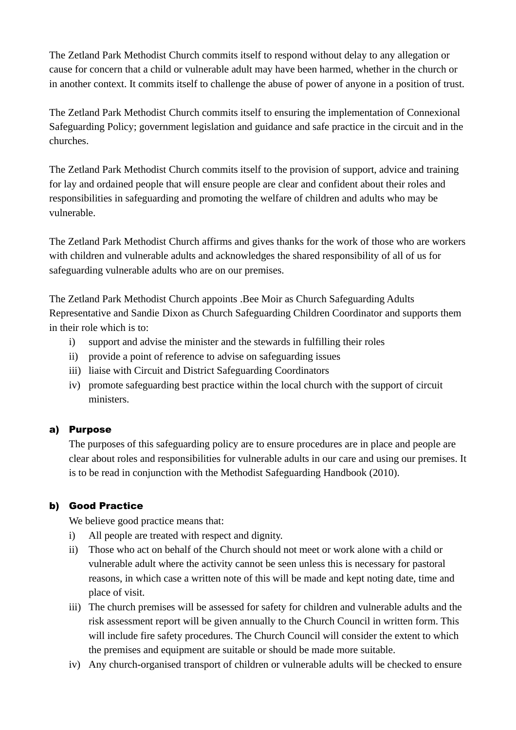The Zetland Park Methodist Church commits itself to respond without delay to any allegation or cause for concern that a child or vulnerable adult may have been harmed, whether in the church or in another context. It commits itself to challenge the abuse of power of anyone in a position of trust.

The Zetland Park Methodist Church commits itself to ensuring the implementation of Connexional Safeguarding Policy; government legislation and guidance and safe practice in the circuit and in the churches.

The Zetland Park Methodist Church commits itself to the provision of support, advice and training for lay and ordained people that will ensure people are clear and confident about their roles and responsibilities in safeguarding and promoting the welfare of children and adults who may be vulnerable.

The Zetland Park Methodist Church affirms and gives thanks for the work of those who are workers with children and vulnerable adults and acknowledges the shared responsibility of all of us for safeguarding vulnerable adults who are on our premises.

The Zetland Park Methodist Church appoints .Bee Moir as Church Safeguarding Adults Representative and Sandie Dixon as Church Safeguarding Children Coordinator and supports them in their role which is to:

- i) support and advise the minister and the stewards in fulfilling their roles
- ii) provide a point of reference to advise on safeguarding issues
- iii) liaise with Circuit and District Safeguarding Coordinators
- iv) promote safeguarding best practice within the local church with the support of circuit ministers.

## a) Purpose

The purposes of this safeguarding policy are to ensure procedures are in place and people are clear about roles and responsibilities for vulnerable adults in our care and using our premises. It is to be read in conjunction with the Methodist Safeguarding Handbook (2010).

## b) Good Practice

We believe good practice means that:

- i) All people are treated with respect and dignity.
- ii) Those who act on behalf of the Church should not meet or work alone with a child or vulnerable adult where the activity cannot be seen unless this is necessary for pastoral reasons, in which case a written note of this will be made and kept noting date, time and place of visit.
- iii) The church premises will be assessed for safety for children and vulnerable adults and the risk assessment report will be given annually to the Church Council in written form. This will include fire safety procedures. The Church Council will consider the extent to which the premises and equipment are suitable or should be made more suitable.
- iv) Any church-organised transport of children or vulnerable adults will be checked to ensure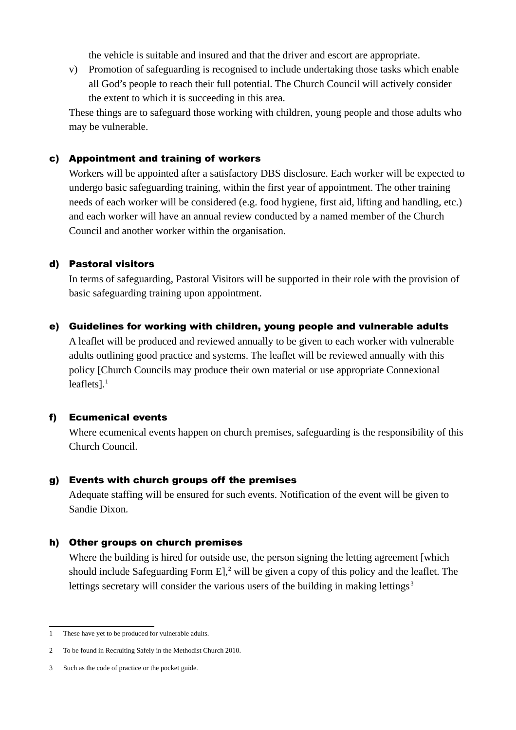the vehicle is suitable and insured and that the driver and escort are appropriate.

v) Promotion of safeguarding is recognised to include undertaking those tasks which enable all God's people to reach their full potential. The Church Council will actively consider the extent to which it is succeeding in this area.

These things are to safeguard those working with children, young people and those adults who may be vulnerable.

#### c) Appointment and training of workers

Workers will be appointed after a satisfactory DBS disclosure. Each worker will be expected to undergo basic safeguarding training, within the first year of appointment. The other training needs of each worker will be considered (e.g. food hygiene, first aid, lifting and handling, etc.) and each worker will have an annual review conducted by a named member of the Church Council and another worker within the organisation.

#### d) Pastoral visitors

In terms of safeguarding, Pastoral Visitors will be supported in their role with the provision of basic safeguarding training upon appointment.

#### e) Guidelines for working with children, young people and vulnerable adults

A leaflet will be produced and reviewed annually to be given to each worker with vulnerable adults outlining good practice and systems. The leaflet will be reviewed annually with this policy [Church Councils may produce their own material or use appropriate Connexional leaflets $l<sup>1</sup>$  $l<sup>1</sup>$  $l<sup>1</sup>$ 

#### f) Ecumenical events

Where ecumenical events happen on church premises, safeguarding is the responsibility of this Church Council.

#### g) Events with church groups off the premises

Adequate staffing will be ensured for such events. Notification of the event will be given to Sandie Dixon*.*

#### h) Other groups on church premises

Where the building is hired for outside use, the person signing the letting agreement [which] should include Safeguarding Form  $E$ ,  $2$  will be given a copy of this policy and the leaflet. The lettings secretary will consider the various users of the building in making lettings<sup>[3](#page-2-2)</sup>

<span id="page-2-0"></span><sup>1</sup> These have yet to be produced for vulnerable adults.

<span id="page-2-1"></span><sup>2</sup> To be found in Recruiting Safely in the Methodist Church 2010.

<span id="page-2-2"></span><sup>3</sup> Such as the code of practice or the pocket guide.